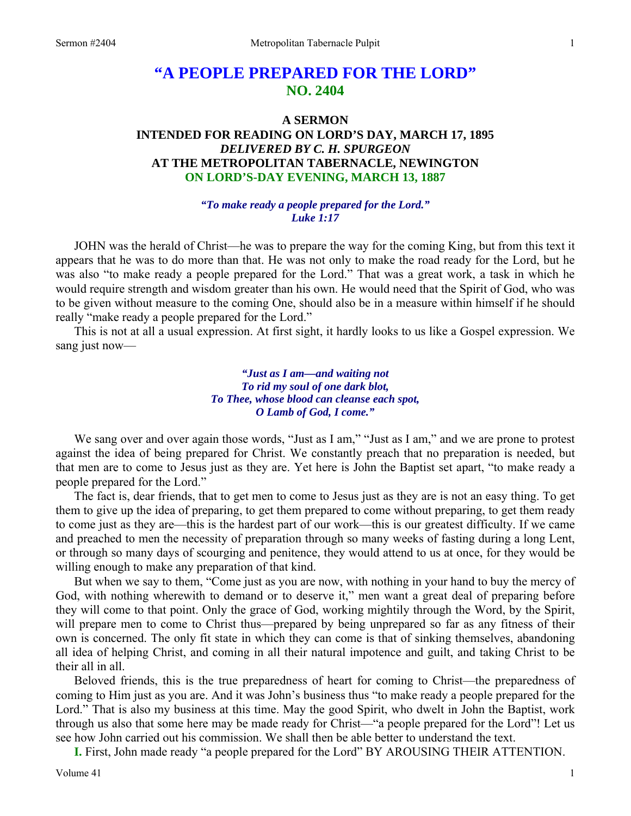# **"A PEOPLE PREPARED FOR THE LORD" NO. 2404**

## **A SERMON INTENDED FOR READING ON LORD'S DAY, MARCH 17, 1895**  *DELIVERED BY C. H. SPURGEON*  **AT THE METROPOLITAN TABERNACLE, NEWINGTON ON LORD'S-DAY EVENING, MARCH 13, 1887**

### *"To make ready a people prepared for the Lord." Luke 1:17*

JOHN was the herald of Christ—he was to prepare the way for the coming King, but from this text it appears that he was to do more than that. He was not only to make the road ready for the Lord, but he was also "to make ready a people prepared for the Lord." That was a great work, a task in which he would require strength and wisdom greater than his own. He would need that the Spirit of God, who was to be given without measure to the coming One, should also be in a measure within himself if he should really "make ready a people prepared for the Lord."

This is not at all a usual expression. At first sight, it hardly looks to us like a Gospel expression. We sang just now—

> *"Just as I am—and waiting not To rid my soul of one dark blot, To Thee, whose blood can cleanse each spot, O Lamb of God, I come."*

We sang over and over again those words, "Just as I am," "Just as I am," and we are prone to protest against the idea of being prepared for Christ. We constantly preach that no preparation is needed, but that men are to come to Jesus just as they are. Yet here is John the Baptist set apart, "to make ready a people prepared for the Lord."

The fact is, dear friends, that to get men to come to Jesus just as they are is not an easy thing. To get them to give up the idea of preparing, to get them prepared to come without preparing, to get them ready to come just as they are—this is the hardest part of our work—this is our greatest difficulty. If we came and preached to men the necessity of preparation through so many weeks of fasting during a long Lent, or through so many days of scourging and penitence, they would attend to us at once, for they would be willing enough to make any preparation of that kind.

But when we say to them, "Come just as you are now, with nothing in your hand to buy the mercy of God, with nothing wherewith to demand or to deserve it," men want a great deal of preparing before they will come to that point. Only the grace of God, working mightily through the Word, by the Spirit, will prepare men to come to Christ thus—prepared by being unprepared so far as any fitness of their own is concerned. The only fit state in which they can come is that of sinking themselves, abandoning all idea of helping Christ, and coming in all their natural impotence and guilt, and taking Christ to be their all in all.

Beloved friends, this is the true preparedness of heart for coming to Christ—the preparedness of coming to Him just as you are. And it was John's business thus "to make ready a people prepared for the Lord." That is also my business at this time. May the good Spirit, who dwelt in John the Baptist, work through us also that some here may be made ready for Christ—"a people prepared for the Lord"! Let us see how John carried out his commission. We shall then be able better to understand the text.

**I.** First, John made ready "a people prepared for the Lord" BY AROUSING THEIR ATTENTION.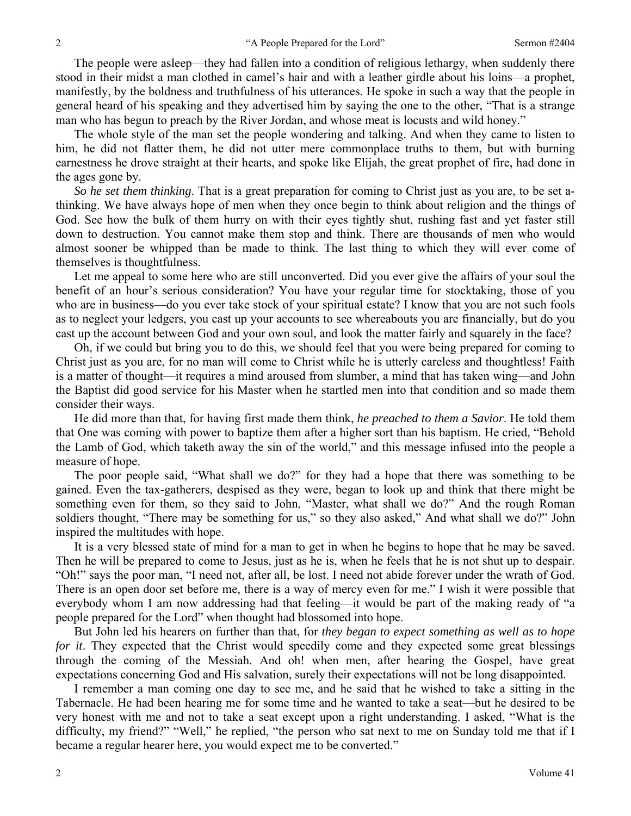The people were asleep—they had fallen into a condition of religious lethargy, when suddenly there stood in their midst a man clothed in camel's hair and with a leather girdle about his loins—a prophet, manifestly, by the boldness and truthfulness of his utterances. He spoke in such a way that the people in general heard of his speaking and they advertised him by saying the one to the other, "That is a strange man who has begun to preach by the River Jordan, and whose meat is locusts and wild honey."

The whole style of the man set the people wondering and talking. And when they came to listen to him, he did not flatter them, he did not utter mere commonplace truths to them, but with burning earnestness he drove straight at their hearts, and spoke like Elijah, the great prophet of fire, had done in the ages gone by.

*So he set them thinking*. That is a great preparation for coming to Christ just as you are, to be set athinking. We have always hope of men when they once begin to think about religion and the things of God. See how the bulk of them hurry on with their eyes tightly shut, rushing fast and yet faster still down to destruction. You cannot make them stop and think. There are thousands of men who would almost sooner be whipped than be made to think. The last thing to which they will ever come of themselves is thoughtfulness.

Let me appeal to some here who are still unconverted. Did you ever give the affairs of your soul the benefit of an hour's serious consideration? You have your regular time for stocktaking, those of you who are in business—do you ever take stock of your spiritual estate? I know that you are not such fools as to neglect your ledgers, you cast up your accounts to see whereabouts you are financially, but do you cast up the account between God and your own soul, and look the matter fairly and squarely in the face?

Oh, if we could but bring you to do this, we should feel that you were being prepared for coming to Christ just as you are, for no man will come to Christ while he is utterly careless and thoughtless! Faith is a matter of thought—it requires a mind aroused from slumber, a mind that has taken wing—and John the Baptist did good service for his Master when he startled men into that condition and so made them consider their ways.

He did more than that, for having first made them think, *he preached to them a Savior*. He told them that One was coming with power to baptize them after a higher sort than his baptism. He cried, "Behold the Lamb of God, which taketh away the sin of the world," and this message infused into the people a measure of hope.

The poor people said, "What shall we do?" for they had a hope that there was something to be gained. Even the tax-gatherers, despised as they were, began to look up and think that there might be something even for them, so they said to John, "Master, what shall we do?" And the rough Roman soldiers thought, "There may be something for us," so they also asked," And what shall we do?" John inspired the multitudes with hope.

It is a very blessed state of mind for a man to get in when he begins to hope that he may be saved. Then he will be prepared to come to Jesus, just as he is, when he feels that he is not shut up to despair. "Oh!" says the poor man, "I need not, after all, be lost. I need not abide forever under the wrath of God. There is an open door set before me, there is a way of mercy even for me." I wish it were possible that everybody whom I am now addressing had that feeling—it would be part of the making ready of "a people prepared for the Lord" when thought had blossomed into hope.

But John led his hearers on further than that, for *they began to expect something as well as to hope for it*. They expected that the Christ would speedily come and they expected some great blessings through the coming of the Messiah. And oh! when men, after hearing the Gospel, have great expectations concerning God and His salvation, surely their expectations will not be long disappointed.

I remember a man coming one day to see me, and he said that he wished to take a sitting in the Tabernacle. He had been hearing me for some time and he wanted to take a seat—but he desired to be very honest with me and not to take a seat except upon a right understanding. I asked, "What is the difficulty, my friend?" "Well," he replied, "the person who sat next to me on Sunday told me that if I became a regular hearer here, you would expect me to be converted."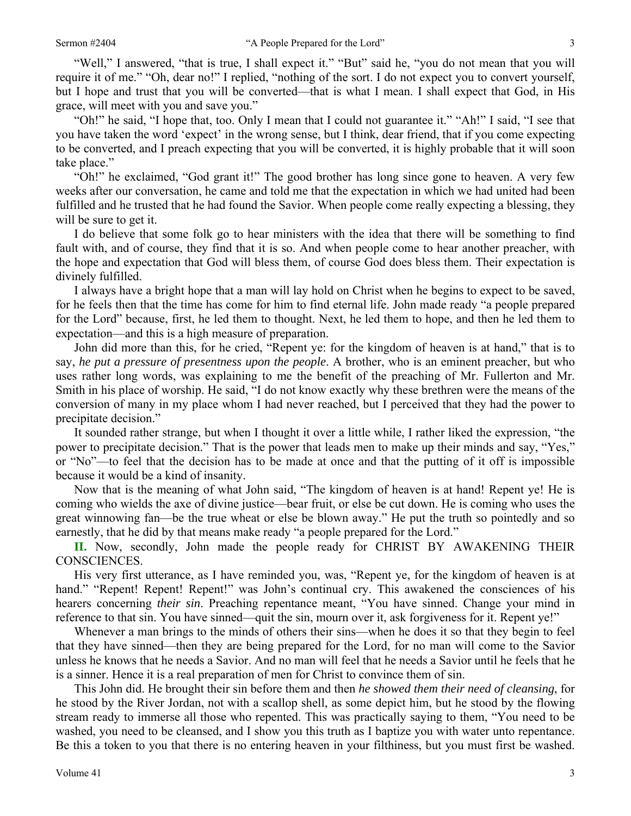"Well," I answered, "that is true, I shall expect it." "But" said he, "you do not mean that you will require it of me." "Oh, dear no!" I replied, "nothing of the sort. I do not expect you to convert yourself, but I hope and trust that you will be converted—that is what I mean. I shall expect that God, in His grace, will meet with you and save you."

"Oh!" he said, "I hope that, too. Only I mean that I could not guarantee it." "Ah!" I said, "I see that you have taken the word 'expect' in the wrong sense, but I think, dear friend, that if you come expecting to be converted, and I preach expecting that you will be converted, it is highly probable that it will soon take place."

"Oh!" he exclaimed, "God grant it!" The good brother has long since gone to heaven. A very few weeks after our conversation, he came and told me that the expectation in which we had united had been fulfilled and he trusted that he had found the Savior. When people come really expecting a blessing, they will be sure to get it.

I do believe that some folk go to hear ministers with the idea that there will be something to find fault with, and of course, they find that it is so. And when people come to hear another preacher, with the hope and expectation that God will bless them, of course God does bless them. Their expectation is divinely fulfilled.

I always have a bright hope that a man will lay hold on Christ when he begins to expect to be saved, for he feels then that the time has come for him to find eternal life. John made ready "a people prepared for the Lord" because, first, he led them to thought. Next, he led them to hope, and then he led them to expectation—and this is a high measure of preparation.

John did more than this, for he cried, "Repent ye: for the kingdom of heaven is at hand," that is to say, *he put a pressure of presentness upon the people*. A brother, who is an eminent preacher, but who uses rather long words, was explaining to me the benefit of the preaching of Mr. Fullerton and Mr. Smith in his place of worship. He said, "I do not know exactly why these brethren were the means of the conversion of many in my place whom I had never reached, but I perceived that they had the power to precipitate decision."

It sounded rather strange, but when I thought it over a little while, I rather liked the expression, "the power to precipitate decision." That is the power that leads men to make up their minds and say, "Yes," or "No"—to feel that the decision has to be made at once and that the putting of it off is impossible because it would be a kind of insanity.

Now that is the meaning of what John said, "The kingdom of heaven is at hand! Repent ye! He is coming who wields the axe of divine justice—bear fruit, or else be cut down. He is coming who uses the great winnowing fan—be the true wheat or else be blown away." He put the truth so pointedly and so earnestly, that he did by that means make ready "a people prepared for the Lord."

**II.** Now, secondly, John made the people ready for CHRIST BY AWAKENING THEIR CONSCIENCES.

His very first utterance, as I have reminded you, was, "Repent ye, for the kingdom of heaven is at hand." "Repent! Repent! Repent!" was John's continual cry. This awakened the consciences of his hearers concerning *their sin*. Preaching repentance meant, "You have sinned. Change your mind in reference to that sin. You have sinned—quit the sin, mourn over it, ask forgiveness for it. Repent ye!"

Whenever a man brings to the minds of others their sins—when he does it so that they begin to feel that they have sinned—then they are being prepared for the Lord, for no man will come to the Savior unless he knows that he needs a Savior. And no man will feel that he needs a Savior until he feels that he is a sinner. Hence it is a real preparation of men for Christ to convince them of sin.

This John did. He brought their sin before them and then *he showed them their need of cleansing*, for he stood by the River Jordan, not with a scallop shell, as some depict him, but he stood by the flowing stream ready to immerse all those who repented. This was practically saying to them, "You need to be washed, you need to be cleansed, and I show you this truth as I baptize you with water unto repentance. Be this a token to you that there is no entering heaven in your filthiness, but you must first be washed.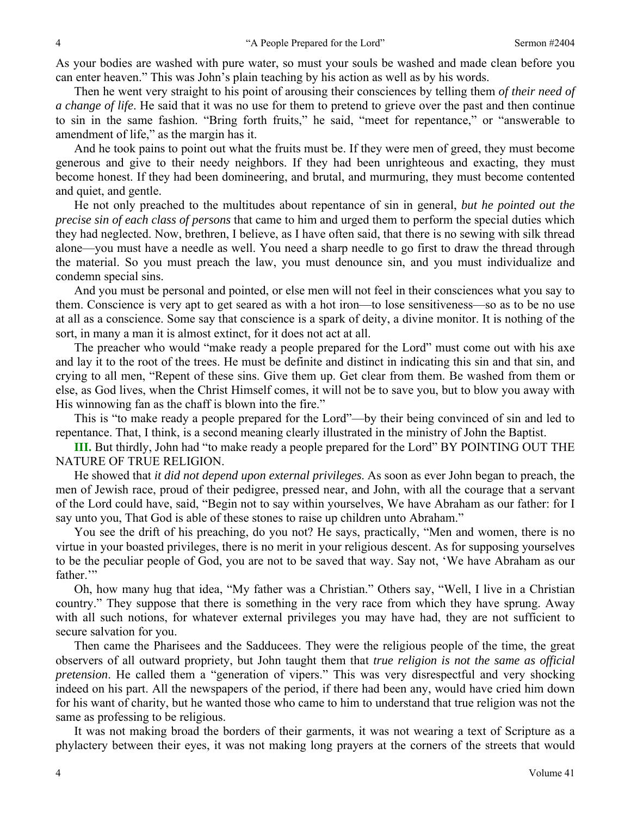As your bodies are washed with pure water, so must your souls be washed and made clean before you can enter heaven." This was John's plain teaching by his action as well as by his words.

Then he went very straight to his point of arousing their consciences by telling them *of their need of a change of life*. He said that it was no use for them to pretend to grieve over the past and then continue to sin in the same fashion. "Bring forth fruits," he said, "meet for repentance," or "answerable to amendment of life," as the margin has it.

And he took pains to point out what the fruits must be. If they were men of greed, they must become generous and give to their needy neighbors. If they had been unrighteous and exacting, they must become honest. If they had been domineering, and brutal, and murmuring, they must become contented and quiet, and gentle.

He not only preached to the multitudes about repentance of sin in general, *but he pointed out the precise sin of each class of persons* that came to him and urged them to perform the special duties which they had neglected. Now, brethren, I believe, as I have often said, that there is no sewing with silk thread alone—you must have a needle as well. You need a sharp needle to go first to draw the thread through the material. So you must preach the law, you must denounce sin, and you must individualize and condemn special sins.

And you must be personal and pointed, or else men will not feel in their consciences what you say to them. Conscience is very apt to get seared as with a hot iron—to lose sensitiveness—so as to be no use at all as a conscience. Some say that conscience is a spark of deity, a divine monitor. It is nothing of the sort, in many a man it is almost extinct, for it does not act at all.

The preacher who would "make ready a people prepared for the Lord" must come out with his axe and lay it to the root of the trees. He must be definite and distinct in indicating this sin and that sin, and crying to all men, "Repent of these sins. Give them up. Get clear from them. Be washed from them or else, as God lives, when the Christ Himself comes, it will not be to save you, but to blow you away with His winnowing fan as the chaff is blown into the fire."

This is "to make ready a people prepared for the Lord"—by their being convinced of sin and led to repentance. That, I think, is a second meaning clearly illustrated in the ministry of John the Baptist.

**III.** But thirdly, John had "to make ready a people prepared for the Lord" BY POINTING OUT THE NATURE OF TRUE RELIGION.

He showed that *it did not depend upon external privileges*. As soon as ever John began to preach, the men of Jewish race, proud of their pedigree, pressed near, and John, with all the courage that a servant of the Lord could have, said, "Begin not to say within yourselves, We have Abraham as our father: for I say unto you, That God is able of these stones to raise up children unto Abraham."

You see the drift of his preaching, do you not? He says, practically, "Men and women, there is no virtue in your boasted privileges, there is no merit in your religious descent. As for supposing yourselves to be the peculiar people of God, you are not to be saved that way. Say not, 'We have Abraham as our father."

Oh, how many hug that idea, "My father was a Christian." Others say, "Well, I live in a Christian country." They suppose that there is something in the very race from which they have sprung. Away with all such notions, for whatever external privileges you may have had, they are not sufficient to secure salvation for you.

Then came the Pharisees and the Sadducees. They were the religious people of the time, the great observers of all outward propriety, but John taught them that *true religion is not the same as official pretension*. He called them a "generation of vipers." This was very disrespectful and very shocking indeed on his part. All the newspapers of the period, if there had been any, would have cried him down for his want of charity, but he wanted those who came to him to understand that true religion was not the same as professing to be religious.

It was not making broad the borders of their garments, it was not wearing a text of Scripture as a phylactery between their eyes, it was not making long prayers at the corners of the streets that would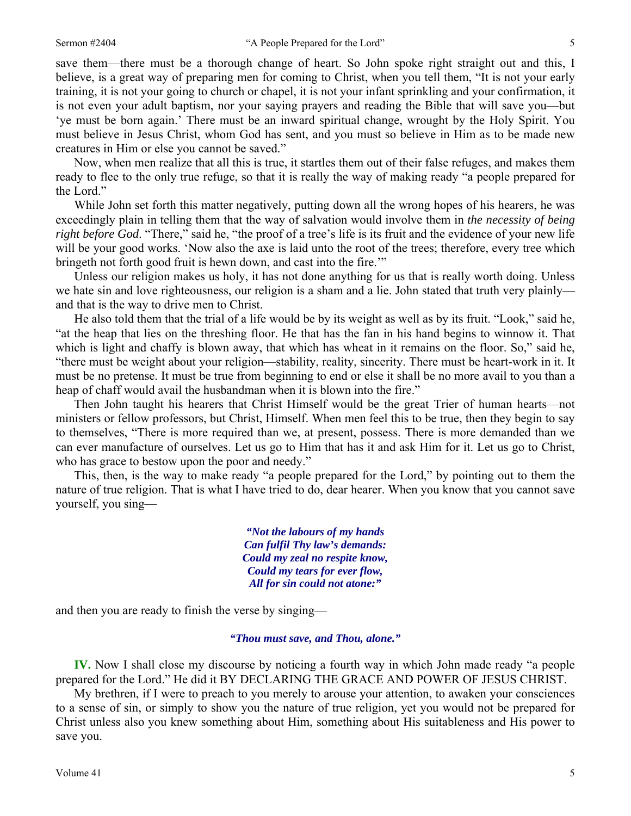save them—there must be a thorough change of heart. So John spoke right straight out and this, I believe, is a great way of preparing men for coming to Christ, when you tell them, "It is not your early training, it is not your going to church or chapel, it is not your infant sprinkling and your confirmation, it is not even your adult baptism, nor your saying prayers and reading the Bible that will save you—but 'ye must be born again.' There must be an inward spiritual change, wrought by the Holy Spirit. You must believe in Jesus Christ, whom God has sent, and you must so believe in Him as to be made new creatures in Him or else you cannot be saved."

Now, when men realize that all this is true, it startles them out of their false refuges, and makes them ready to flee to the only true refuge, so that it is really the way of making ready "a people prepared for the Lord."

While John set forth this matter negatively, putting down all the wrong hopes of his hearers, he was exceedingly plain in telling them that the way of salvation would involve them in *the necessity of being right before God*. "There," said he, "the proof of a tree's life is its fruit and the evidence of your new life will be your good works. 'Now also the axe is laid unto the root of the trees; therefore, every tree which bringeth not forth good fruit is hewn down, and cast into the fire.'"

Unless our religion makes us holy, it has not done anything for us that is really worth doing. Unless we hate sin and love righteousness, our religion is a sham and a lie. John stated that truth very plainly and that is the way to drive men to Christ.

He also told them that the trial of a life would be by its weight as well as by its fruit. "Look," said he, "at the heap that lies on the threshing floor. He that has the fan in his hand begins to winnow it. That which is light and chaffy is blown away, that which has wheat in it remains on the floor. So," said he, "there must be weight about your religion—stability, reality, sincerity. There must be heart-work in it. It must be no pretense. It must be true from beginning to end or else it shall be no more avail to you than a heap of chaff would avail the husbandman when it is blown into the fire."

Then John taught his hearers that Christ Himself would be the great Trier of human hearts—not ministers or fellow professors, but Christ, Himself. When men feel this to be true, then they begin to say to themselves, "There is more required than we, at present, possess. There is more demanded than we can ever manufacture of ourselves. Let us go to Him that has it and ask Him for it. Let us go to Christ, who has grace to bestow upon the poor and needy."

This, then, is the way to make ready "a people prepared for the Lord," by pointing out to them the nature of true religion. That is what I have tried to do, dear hearer. When you know that you cannot save yourself, you sing—

> *"Not the labours of my hands Can fulfil Thy law's demands: Could my zeal no respite know, Could my tears for ever flow, All for sin could not atone:"*

and then you are ready to finish the verse by singing—

*"Thou must save, and Thou, alone."* 

**IV.** Now I shall close my discourse by noticing a fourth way in which John made ready "a people prepared for the Lord." He did it BY DECLARING THE GRACE AND POWER OF JESUS CHRIST.

My brethren, if I were to preach to you merely to arouse your attention, to awaken your consciences to a sense of sin, or simply to show you the nature of true religion, yet you would not be prepared for Christ unless also you knew something about Him, something about His suitableness and His power to save you.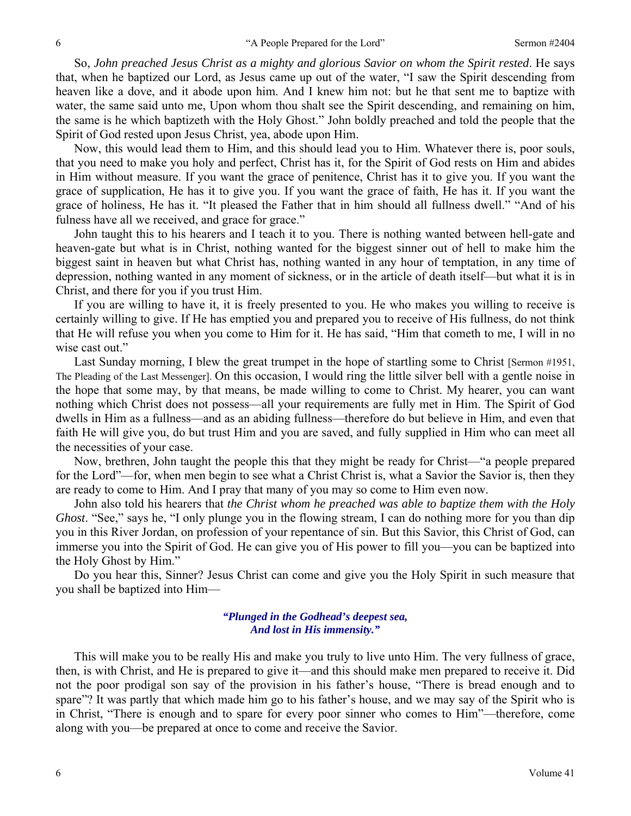So, *John preached Jesus Christ as a mighty and glorious Savior on whom the Spirit rested*. He says that, when he baptized our Lord, as Jesus came up out of the water, "I saw the Spirit descending from heaven like a dove, and it abode upon him. And I knew him not: but he that sent me to baptize with water, the same said unto me, Upon whom thou shalt see the Spirit descending, and remaining on him, the same is he which baptizeth with the Holy Ghost." John boldly preached and told the people that the Spirit of God rested upon Jesus Christ, yea, abode upon Him.

Now, this would lead them to Him, and this should lead you to Him. Whatever there is, poor souls, that you need to make you holy and perfect, Christ has it, for the Spirit of God rests on Him and abides in Him without measure. If you want the grace of penitence, Christ has it to give you. If you want the grace of supplication, He has it to give you. If you want the grace of faith, He has it. If you want the grace of holiness, He has it. "It pleased the Father that in him should all fullness dwell." "And of his fulness have all we received, and grace for grace."

John taught this to his hearers and I teach it to you. There is nothing wanted between hell-gate and heaven-gate but what is in Christ, nothing wanted for the biggest sinner out of hell to make him the biggest saint in heaven but what Christ has, nothing wanted in any hour of temptation, in any time of depression, nothing wanted in any moment of sickness, or in the article of death itself—but what it is in Christ, and there for you if you trust Him.

If you are willing to have it, it is freely presented to you. He who makes you willing to receive is certainly willing to give. If He has emptied you and prepared you to receive of His fullness, do not think that He will refuse you when you come to Him for it. He has said, "Him that cometh to me, I will in no wise cast out."

Last Sunday morning, I blew the great trumpet in the hope of startling some to Christ [Sermon #1951, The Pleading of the Last Messenger]. On this occasion, I would ring the little silver bell with a gentle noise in the hope that some may, by that means, be made willing to come to Christ. My hearer, you can want nothing which Christ does not possess—all your requirements are fully met in Him. The Spirit of God dwells in Him as a fullness—and as an abiding fullness—therefore do but believe in Him, and even that faith He will give you, do but trust Him and you are saved, and fully supplied in Him who can meet all the necessities of your case.

Now, brethren, John taught the people this that they might be ready for Christ—"a people prepared for the Lord"—for, when men begin to see what a Christ Christ is, what a Savior the Savior is, then they are ready to come to Him. And I pray that many of you may so come to Him even now.

John also told his hearers that *the Christ whom he preached was able to baptize them with the Holy Ghost*. "See," says he, "I only plunge you in the flowing stream, I can do nothing more for you than dip you in this River Jordan, on profession of your repentance of sin. But this Savior, this Christ of God, can immerse you into the Spirit of God. He can give you of His power to fill you—you can be baptized into the Holy Ghost by Him."

Do you hear this, Sinner? Jesus Christ can come and give you the Holy Spirit in such measure that you shall be baptized into Him—

#### *"Plunged in the Godhead's deepest sea, And lost in His immensity."*

This will make you to be really His and make you truly to live unto Him. The very fullness of grace, then, is with Christ, and He is prepared to give it—and this should make men prepared to receive it. Did not the poor prodigal son say of the provision in his father's house, "There is bread enough and to spare"? It was partly that which made him go to his father's house, and we may say of the Spirit who is in Christ, "There is enough and to spare for every poor sinner who comes to Him"—therefore, come along with you—be prepared at once to come and receive the Savior.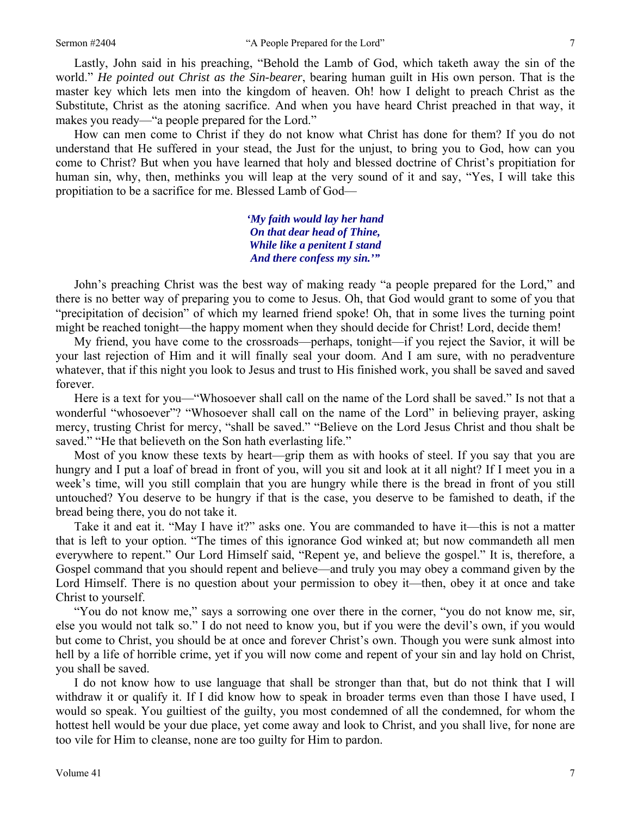Lastly, John said in his preaching, "Behold the Lamb of God, which taketh away the sin of the world." *He pointed out Christ as the Sin-bearer*, bearing human guilt in His own person. That is the master key which lets men into the kingdom of heaven. Oh! how I delight to preach Christ as the Substitute, Christ as the atoning sacrifice. And when you have heard Christ preached in that way, it makes you ready—"a people prepared for the Lord."

How can men come to Christ if they do not know what Christ has done for them? If you do not understand that He suffered in your stead, the Just for the unjust, to bring you to God, how can you come to Christ? But when you have learned that holy and blessed doctrine of Christ's propitiation for human sin, why, then, methinks you will leap at the very sound of it and say, "Yes, I will take this propitiation to be a sacrifice for me. Blessed Lamb of God—

> *'My faith would lay her hand On that dear head of Thine, While like a penitent I stand And there confess my sin.'"*

John's preaching Christ was the best way of making ready "a people prepared for the Lord," and there is no better way of preparing you to come to Jesus. Oh, that God would grant to some of you that "precipitation of decision" of which my learned friend spoke! Oh, that in some lives the turning point might be reached tonight—the happy moment when they should decide for Christ! Lord, decide them!

My friend, you have come to the crossroads—perhaps, tonight—if you reject the Savior, it will be your last rejection of Him and it will finally seal your doom. And I am sure, with no peradventure whatever, that if this night you look to Jesus and trust to His finished work, you shall be saved and saved forever.

Here is a text for you—"Whosoever shall call on the name of the Lord shall be saved." Is not that a wonderful "whosoever"? "Whosoever shall call on the name of the Lord" in believing prayer, asking mercy, trusting Christ for mercy, "shall be saved." "Believe on the Lord Jesus Christ and thou shalt be saved." "He that believeth on the Son hath everlasting life."

Most of you know these texts by heart—grip them as with hooks of steel. If you say that you are hungry and I put a loaf of bread in front of you, will you sit and look at it all night? If I meet you in a week's time, will you still complain that you are hungry while there is the bread in front of you still untouched? You deserve to be hungry if that is the case, you deserve to be famished to death, if the bread being there, you do not take it.

Take it and eat it. "May I have it?" asks one. You are commanded to have it—this is not a matter that is left to your option. "The times of this ignorance God winked at; but now commandeth all men everywhere to repent." Our Lord Himself said, "Repent ye, and believe the gospel." It is, therefore, a Gospel command that you should repent and believe—and truly you may obey a command given by the Lord Himself. There is no question about your permission to obey it—then, obey it at once and take Christ to yourself.

"You do not know me," says a sorrowing one over there in the corner, "you do not know me, sir, else you would not talk so." I do not need to know you, but if you were the devil's own, if you would but come to Christ, you should be at once and forever Christ's own. Though you were sunk almost into hell by a life of horrible crime, yet if you will now come and repent of your sin and lay hold on Christ, you shall be saved.

I do not know how to use language that shall be stronger than that, but do not think that I will withdraw it or qualify it. If I did know how to speak in broader terms even than those I have used, I would so speak. You guiltiest of the guilty, you most condemned of all the condemned, for whom the hottest hell would be your due place, yet come away and look to Christ, and you shall live, for none are too vile for Him to cleanse, none are too guilty for Him to pardon.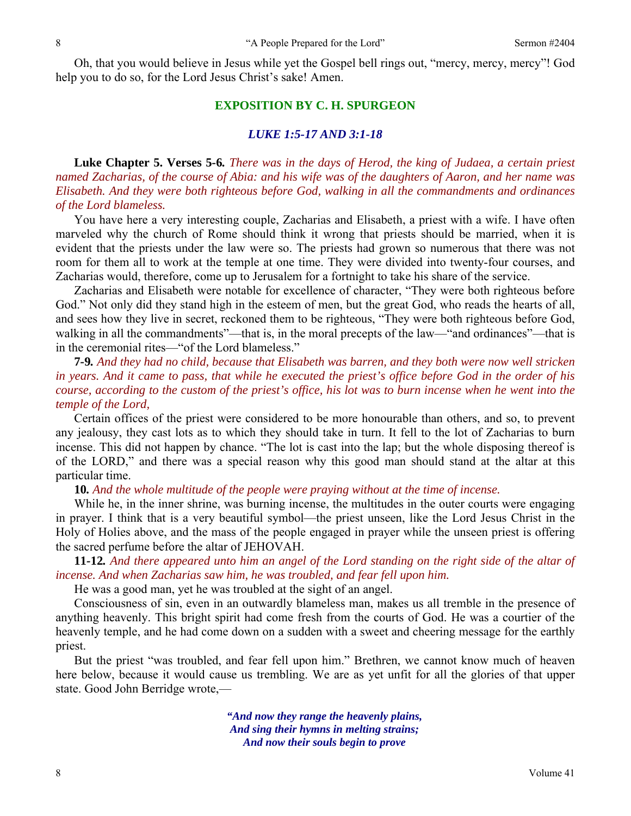Oh, that you would believe in Jesus while yet the Gospel bell rings out, "mercy, mercy, mercy"! God help you to do so, for the Lord Jesus Christ's sake! Amen.

#### **EXPOSITION BY C. H. SPURGEON**

#### *LUKE 1:5-17 AND 3:1-18*

**Luke Chapter 5. Verses 5***-***6***. There was in the days of Herod, the king of Judaea, a certain priest named Zacharias, of the course of Abia: and his wife was of the daughters of Aaron, and her name was Elisabeth. And they were both righteous before God, walking in all the commandments and ordinances of the Lord blameless.*

You have here a very interesting couple, Zacharias and Elisabeth, a priest with a wife. I have often marveled why the church of Rome should think it wrong that priests should be married, when it is evident that the priests under the law were so. The priests had grown so numerous that there was not room for them all to work at the temple at one time. They were divided into twenty-four courses, and Zacharias would, therefore, come up to Jerusalem for a fortnight to take his share of the service.

Zacharias and Elisabeth were notable for excellence of character, "They were both righteous before God." Not only did they stand high in the esteem of men, but the great God, who reads the hearts of all, and sees how they live in secret, reckoned them to be righteous, "They were both righteous before God, walking in all the commandments"—that is, in the moral precepts of the law—"and ordinances"—that is in the ceremonial rites—"of the Lord blameless."

**7***-***9***. And they had no child, because that Elisabeth was barren, and they both were now well stricken in years. And it came to pass, that while he executed the priest's office before God in the order of his course, according to the custom of the priest's office, his lot was to burn incense when he went into the temple of the Lord,* 

Certain offices of the priest were considered to be more honourable than others, and so, to prevent any jealousy, they cast lots as to which they should take in turn. It fell to the lot of Zacharias to burn incense. This did not happen by chance. "The lot is cast into the lap; but the whole disposing thereof is of the LORD," and there was a special reason why this good man should stand at the altar at this particular time.

**10***. And the whole multitude of the people were praying without at the time of incense.*

While he, in the inner shrine, was burning incense, the multitudes in the outer courts were engaging in prayer. I think that is a very beautiful symbol—the priest unseen, like the Lord Jesus Christ in the Holy of Holies above, and the mass of the people engaged in prayer while the unseen priest is offering the sacred perfume before the altar of JEHOVAH.

**11***-***12***. And there appeared unto him an angel of the Lord standing on the right side of the altar of incense. And when Zacharias saw him, he was troubled, and fear fell upon him.*

He was a good man, yet he was troubled at the sight of an angel.

Consciousness of sin, even in an outwardly blameless man, makes us all tremble in the presence of anything heavenly. This bright spirit had come fresh from the courts of God. He was a courtier of the heavenly temple, and he had come down on a sudden with a sweet and cheering message for the earthly priest.

But the priest "was troubled, and fear fell upon him." Brethren, we cannot know much of heaven here below, because it would cause us trembling. We are as yet unfit for all the glories of that upper state. Good John Berridge wrote,—

> *"And now they range the heavenly plains, And sing their hymns in melting strains; And now their souls begin to prove*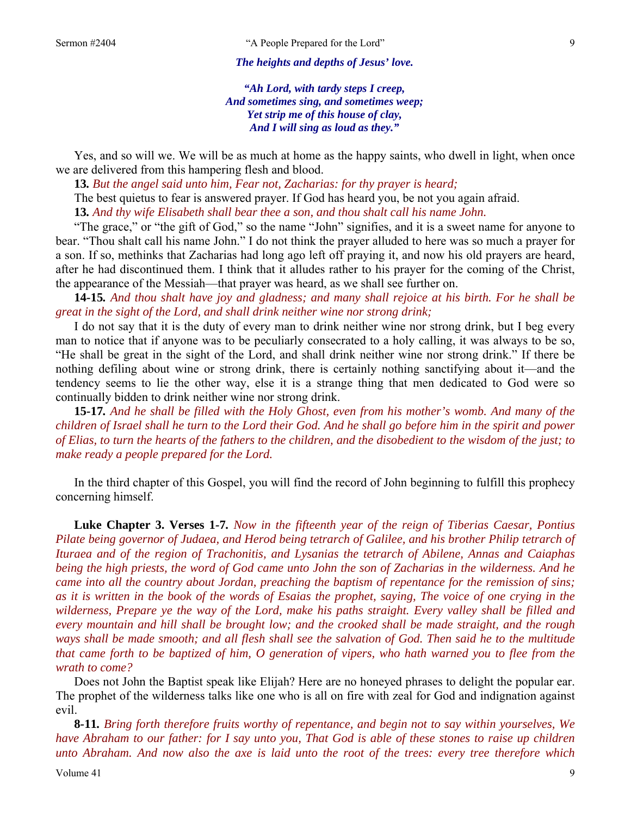*The heights and depths of Jesus' love.* 

*"Ah Lord, with tardy steps I creep, And sometimes sing, and sometimes weep; Yet strip me of this house of clay, And I will sing as loud as they."* 

Yes, and so will we. We will be as much at home as the happy saints, who dwell in light, when once we are delivered from this hampering flesh and blood.

**13***. But the angel said unto him, Fear not, Zacharias: for thy prayer is heard;* The best quietus to fear is answered prayer. If God has heard you, be not you again afraid. **13***. And thy wife Elisabeth shall bear thee a son, and thou shalt call his name John.*

"The grace," or "the gift of God," so the name "John" signifies, and it is a sweet name for anyone to bear. "Thou shalt call his name John." I do not think the prayer alluded to here was so much a prayer for a son. If so, methinks that Zacharias had long ago left off praying it, and now his old prayers are heard, after he had discontinued them. I think that it alludes rather to his prayer for the coming of the Christ, the appearance of the Messiah—that prayer was heard, as we shall see further on.

**14***-***15***. And thou shalt have joy and gladness; and many shall rejoice at his birth. For he shall be great in the sight of the Lord, and shall drink neither wine nor strong drink;*

I do not say that it is the duty of every man to drink neither wine nor strong drink, but I beg every man to notice that if anyone was to be peculiarly consecrated to a holy calling, it was always to be so, "He shall be great in the sight of the Lord, and shall drink neither wine nor strong drink." If there be nothing defiling about wine or strong drink, there is certainly nothing sanctifying about it—and the tendency seems to lie the other way, else it is a strange thing that men dedicated to God were so continually bidden to drink neither wine nor strong drink.

**15***-***17***. And he shall be filled with the Holy Ghost, even from his mother's womb. And many of the children of Israel shall he turn to the Lord their God. And he shall go before him in the spirit and power of Elias, to turn the hearts of the fathers to the children, and the disobedient to the wisdom of the just; to make ready a people prepared for the Lord.* 

In the third chapter of this Gospel, you will find the record of John beginning to fulfill this prophecy concerning himself.

**Luke Chapter 3. Verses 1***-***7***. Now in the fifteenth year of the reign of Tiberias Caesar, Pontius Pilate being governor of Judaea, and Herod being tetrarch of Galilee, and his brother Philip tetrarch of Ituraea and of the region of Trachonitis, and Lysanias the tetrarch of Abilene, Annas and Caiaphas being the high priests, the word of God came unto John the son of Zacharias in the wilderness. And he came into all the country about Jordan, preaching the baptism of repentance for the remission of sins; as it is written in the book of the words of Esaias the prophet, saying, The voice of one crying in the wilderness, Prepare ye the way of the Lord, make his paths straight. Every valley shall be filled and every mountain and hill shall be brought low; and the crooked shall be made straight, and the rough ways shall be made smooth; and all flesh shall see the salvation of God. Then said he to the multitude that came forth to be baptized of him, O generation of vipers, who hath warned you to flee from the wrath to come?*

Does not John the Baptist speak like Elijah? Here are no honeyed phrases to delight the popular ear. The prophet of the wilderness talks like one who is all on fire with zeal for God and indignation against evil.

**8***-***11***. Bring forth therefore fruits worthy of repentance, and begin not to say within yourselves, We have Abraham to our father: for I say unto you, That God is able of these stones to raise up children unto Abraham. And now also the axe is laid unto the root of the trees: every tree therefore which*